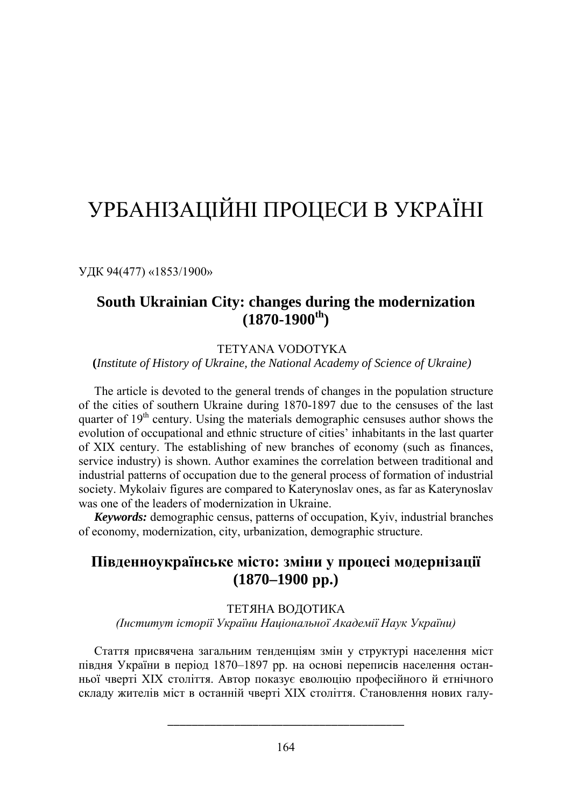# УРБАНІЗАЦІЙНІ ПРОЦЕСИ В УКРАЇНІ

УДК 94(477) «1853/1900»

# **South Ukrainian City: changes during the modernization (1870-1900th)**

## TETYANA VODOTYKA

**(***Institute of History of Ukraine, the National Academy of Science of Ukraine)*

The article is devoted to the general trends of changes in the population structure of the cities of southern Ukraine during 1870-1897 due to the censuses of the last quarter of  $19<sup>th</sup>$  century. Using the materials demographic censuses author shows the evolution of occupational and ethnic structure of cities' inhabitants in the last quarter of XIX century. The establishing of new branches of economy (such as finances, service industry) is shown. Author examines the correlation between traditional and industrial patterns of occupation due to the general process of formation of industrial society. Mykolaiv figures are compared to Katerynoslav ones, as far as Katerynoslav was one of the leaders of modernization in Ukraine.

*Keywords:* demographic census, patterns of occupation, Kyiv, industrial branches of economy, modernization, city, urbanization, demographic structure.

# **Південноукраїнське місто: зміни у процесі модернізації (1870–1900 рр.)**

#### ТЕТЯНА ВОДОТИКА

*(Інститут історії України Національної Академії Наук України)*

Стаття присвячена загальним тенденціям змін у структурі населення міст півдня України в період 1870–1897 рр. на основі переписів населення останньої чверті ХІХ століття. Автор показує еволюцію професійного й етнічного складу жителів міст в останній чверті XIX століття. Становлення нових галу-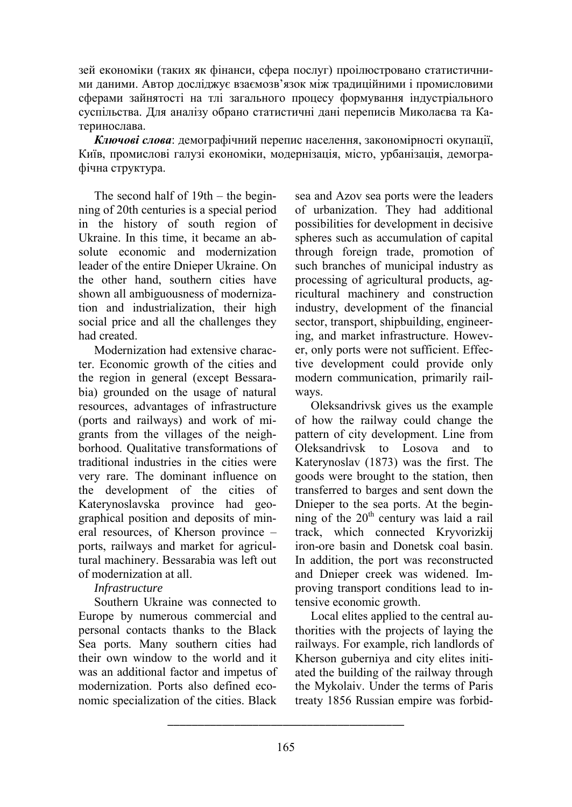зей економіки (таких як фінанси, сфера послуг) проілюстровано статистичними даними. Автор досліджує взаємозв'язок між традиційними і промисловими сферами зайнятості на тлі загального процесу формування індустріального суспільства. Для аналізу обрано статистичні дані переписів Миколаєва та Катеринослава.

*Ключові слова*: демографічний перепис населення, закономірності окупації, Київ, промислові галузі економіки, модернізація, місто, урбанізація, демографічна структура.

The second half of 19th – the beginning of 20th centuries is a special period in the history of south region of Ukraine. In this time, it became an absolute economic and modernization leader of the entire Dnieper Ukraine. On the other hand, southern cities have shown all ambiguousness of modernization and industrialization, their high social price and all the challenges they had created.

Modernization had extensive character. Economic growth of the cities and the region in general (except Bessarabia) grounded on the usage of natural resources, advantages of infrastructure (ports and railways) and work of migrants from the villages of the neighborhood. Qualitative transformations of traditional industries in the cities were very rare. The dominant influence on the development of the cities of Katerynoslavska province had geographical position and deposits of mineral resources, of Kherson province – ports, railways and market for agricultural machinery. Bessarabia was left out of modernization at all.

## *Infrastructure*

Southern Ukraine was connected to Europe by numerous commercial and personal contacts thanks to the Black Sea ports. Many southern cities had their own window to the world and it was an additional factor and impetus of modernization. Ports also defined economic specialization of the cities. Black

sea and Azov sea ports were the leaders of urbanization. They had additional possibilities for development in decisive spheres such as accumulation of capital through foreign trade, promotion of such branches of municipal industry as processing of agricultural products, agricultural machinery and construction industry, development of the financial sector, transport, shipbuilding, engineering, and market infrastructure. However, only ports were not sufficient. Effective development could provide only modern communication, primarily railways.

Oleksandrivsk gives us the example of how the railway could change the pattern of city development. Line from Oleksandrivsk to Losova and to Katerynoslav (1873) was the first. The goods were brought to the station, then transferred to barges and sent down the Dnieper to the sea ports. At the beginning of the  $20<sup>th</sup>$  century was laid a rail track, which connected Kryvorizkij iron-ore basin and Donetsk coal basin. In addition, the port was reconstructed and Dnieper creek was widened. Improving transport conditions lead to intensive economic growth.

Local elites applied to the central authorities with the projects of laying the railways. For example, rich landlords of Kherson guberniya and city elites initiated the building of the railway through the Mykolaiv. Under the terms of Paris treaty 1856 Russian empire was forbid-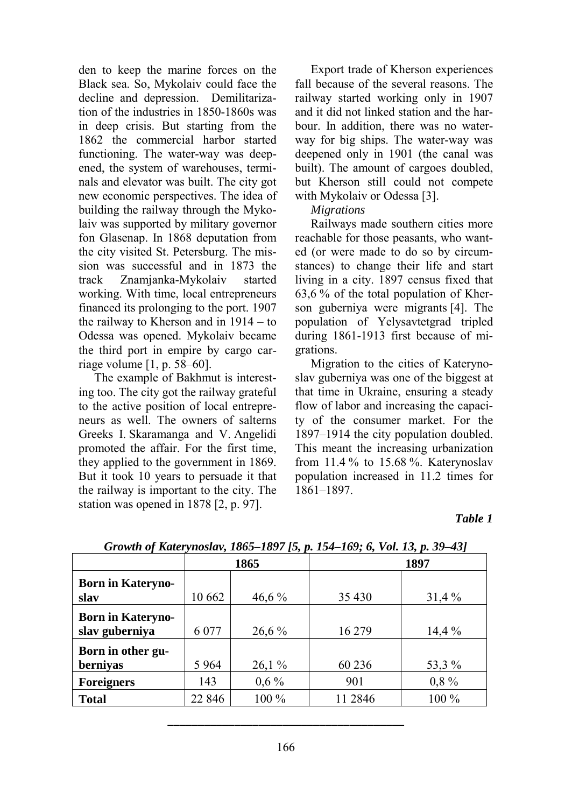den to keep the marine forces on the Black sea. So, Mykolaiv could face the decline and depression. Demilitarization of the industries in 1850-1860s was in deep crisis. But starting from the 1862 the commercial harbor started functioning. The water-way was deepened, the system of warehouses, terminals and elevator was built. The city got new economic perspectives. The idea of building the railway through the Mykolaiv was supported by military governor fon Glasenap. In 1868 deputation from the city visited St. Petersburg. The mission was successful and in 1873 the track Znamjanka-Mykolaiv started working. With time, local entrepreneurs financed its prolonging to the port. 1907 the railway to Kherson and in 1914 – to Odessa was opened. Mykolaiv became the third port in empire by cargo carriage volume [1, p. 58–60].

The example of Bakhmut is interesting too. The city got the railway grateful to the active position of local entrepreneurs as well. The owners of salterns Greeks I. Skaramanga and V. Angelidi promoted the affair. For the first time, they applied to the government in 1869. But it took 10 years to persuade it that the railway is important to the city. The station was opened in 1878 [2, p. 97].

Export trade of Kherson experiences fall because of the several reasons. The railway started working only in 1907 and it did not linked station and the harbour. In addition, there was no waterway for big ships. The water-way was deepened only in 1901 (the canal was built). The amount of cargoes doubled, but Kherson still could not compete with Mykolaiv or Odessa [3].

#### *Migrations*

Railways made southern cities more reachable for those peasants, who wanted (or were made to do so by circumstances) to change their life and start living in a city. 1897 census fixed that 63,6 % of the total population of Kherson guberniya were migrants [4]. The population of Yelysavtetgrad tripled during 1861-1913 first because of migrations.

Migration to the cities of Katerynoslav guberniya was one of the biggest at that time in Ukraine, ensuring a steady flow of labor and increasing the capacity of the consumer market. For the 1897–1914 the city population doubled. This meant the increasing urbanization from 11.4 % to 15.68 %. Katerynoslav population increased in 11.2 times for 1861–1897.

#### *Table 1*

| Growin of Katerynosiav, 1003–1097 f3, p. 134–109, 0, vol. 13, p. 39–43 f |                   |                |                   |
|--------------------------------------------------------------------------|-------------------|----------------|-------------------|
| 1865                                                                     |                   | 1897           |                   |
|                                                                          |                   |                |                   |
|                                                                          |                   |                | 31,4%             |
| 6 0 7 7                                                                  | 26,6 %            | 16 279         | 14,4%             |
|                                                                          |                   |                |                   |
|                                                                          |                   |                | 53,3 %            |
| 143                                                                      | $0.6\%$           | 901            | 0,8%              |
| 22 846                                                                   | 100 %             | 11 2846        | 100 %             |
|                                                                          | 10 662<br>5 9 6 4 | 46,6%<br>26,1% | 35 4 30<br>60 236 |

*Growth of Katerynoslav, 1865–1897 [5, p. 154–169; 6, Vol. 13, p. 39–43]*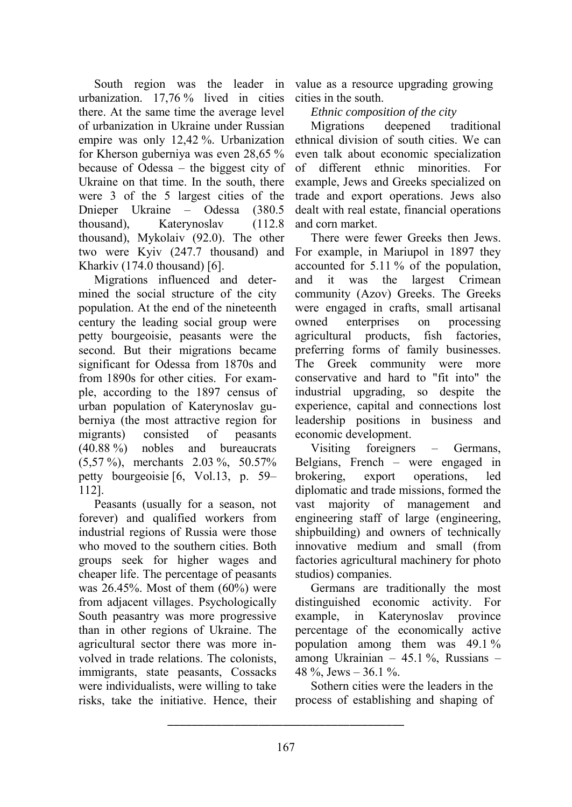urbanization. 17,76 % lived in cities there. At the same time the average level of urbanization in Ukraine under Russian empire was only 12,42 %. Urbanization for Kherson guberniya was even 28,65 % because of Odessa – the biggest city of Ukraine on that time. In the south, there were 3 of the 5 largest cities of the Dnieper Ukraine – Odessa (380.5 thousand), Katerynoslav (112.8 thousand), Mykolaiv (92.0). The other two were Kyiv (247.7 thousand) and Kharkiv (174.0 thousand) [6].

Migrations influenced and determined the social structure of the city population. At the end of the nineteenth century the leading social group were petty bourgeoisie, peasants were the second. But their migrations became significant for Odessa from 1870s and from 1890s for other cities. For example, according to the 1897 census of urban population of Katerynoslav guberniya (the most attractive region for migrants) consisted of peasants (40.88 %) nobles and bureaucrats (5,57 %), merchants 2.03 %, 50.57% petty bourgeoisie [6, Vol.13, p. 59– 112].

Peasants (usually for a season, not forever) and qualified workers from industrial regions of Russia were those who moved to the southern cities. Both groups seek for higher wages and cheaper life. The percentage of peasants was  $26.45\%$ . Most of them  $(60\%)$  were from adjacent villages. Psychologically South peasantry was more progressive than in other regions of Ukraine. The agricultural sector there was more involved in trade relations. The colonists, immigrants, state peasants, Cossacks were individualists, were willing to take risks, take the initiative. Hence, their

South region was the leader in value as a resource upgrading growing cities in the south.

*Ethnic composition of the city* 

Migrations deepened traditional ethnical division of south cities. We can even talk about economic specialization<br>of different ethnic minorities For different ethnic minorities. For example, Jews and Greeks specialized on trade and export operations. Jews also dealt with real estate, financial operations and corn market.

There were fewer Greeks then Jews. For example, in Mariupol in 1897 they accounted for 5.11 % of the population, and it was the largest Crimean community (Azov) Greeks. The Greeks were engaged in crafts, small artisanal owned enterprises on processing agricultural products, fish factories, preferring forms of family businesses. The Greek community were more conservative and hard to "fit into" the industrial upgrading, so despite the experience, capital and connections lost leadership positions in business and economic development.

Visiting foreigners – Germans, Belgians, French – were engaged in brokering, export operations, led diplomatic and trade missions, formed the vast majority of management and engineering staff of large (engineering, shipbuilding) and owners of technically innovative medium and small (from factories agricultural machinery for photo studios) companies.

Germans are traditionally the most distinguished economic activity. For example, in Katerynoslav province percentage of the economically active population among them was 49.1 % among Ukrainian – 45.1 %, Russians – 48 %, Jews –  $36.1\%$ .

Sothern cities were the leaders in the process of establishing and shaping of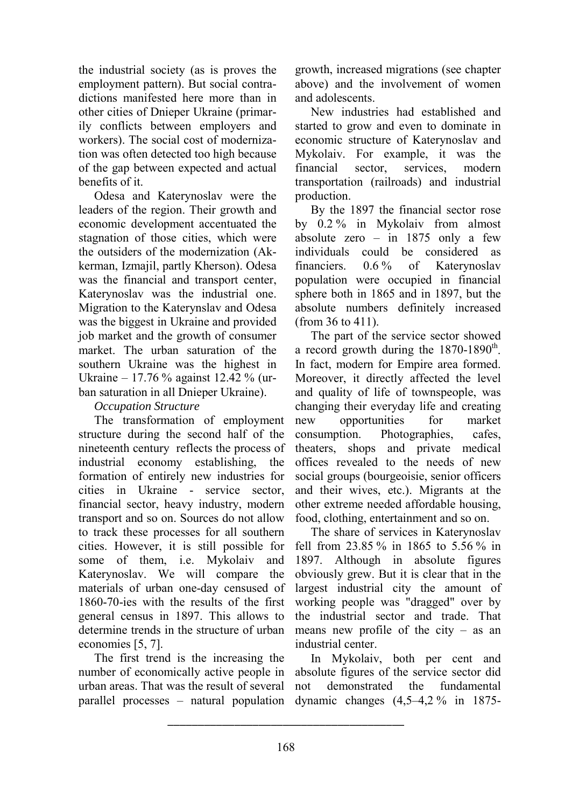the industrial society (as is proves the employment pattern). But social contradictions manifested here more than in other cities of Dnieper Ukraine (primarily conflicts between employers and workers). The social cost of modernization was often detected too high because of the gap between expected and actual benefits of it.

Odesa and Katerynoslav were the leaders of the region. Their growth and economic development accentuated the stagnation of those cities, which were the outsiders of the modernization (Akkerman, Izmajil, partly Kherson). Odesa was the financial and transport center, Katerynoslav was the industrial one. Migration to the Katerynslav and Odesa was the biggest in Ukraine and provided job market and the growth of consumer market. The urban saturation of the southern Ukraine was the highest in Ukraine – 17.76 % against 12.42 % (urban saturation in all Dnieper Ukraine).

### *Occupation Structure*

The transformation of employment structure during the second half of the nineteenth century reflects the process of industrial economy establishing, the formation of entirely new industries for cities in Ukraine - service sector, financial sector, heavy industry, modern transport and so on. Sources do not allow to track these processes for all southern cities. However, it is still possible for some of them, i.e. Mykolaiv and Katerynoslav. We will compare the materials of urban one-day censused of 1860-70-ies with the results of the first general census in 1897. This allows to determine trends in the structure of urban economies [5, 7].

The first trend is the increasing the number of economically active people in urban areas. That was the result of several parallel processes – natural population

growth, increased migrations (see chapter above) and the involvement of women and adolescents.

New industries had established and started to grow and even to dominate in economic structure of Katerynoslav and Mykolaiv. For example, it was the financial sector, services, modern transportation (railroads) and industrial production.

By the 1897 the financial sector rose by 0.2 % in Mykolaiv from almost absolute zero – in  $1875$  only a few individuals could be considered as financiers. 0.6 % of Katerynoslav population were occupied in financial sphere both in 1865 and in 1897, but the absolute numbers definitely increased (from 36 to 411).

The part of the service sector showed a record growth during the  $1870-1890^{th}$ . In fact, modern for Empire area formed. Moreover, it directly affected the level and quality of life of townspeople, was changing their everyday life and creating new opportunities for market consumption. Photographies, cafes, theaters, shops and private medical offices revealed to the needs of new social groups (bourgeoisie, senior officers and their wives, etc.). Migrants at the other extreme needed affordable housing, food, clothing, entertainment and so on.

The share of services in Katerynoslav fell from 23.85 % in 1865 to 5.56 % in 1897. Although in absolute figures obviously grew. But it is clear that in the largest industrial city the amount of working people was "dragged" over by the industrial sector and trade. That means new profile of the city – as an industrial center.

In Mykolaiv, both per cent and absolute figures of the service sector did not demonstrated the fundamental dynamic changes (4,5–4,2 % in 1875-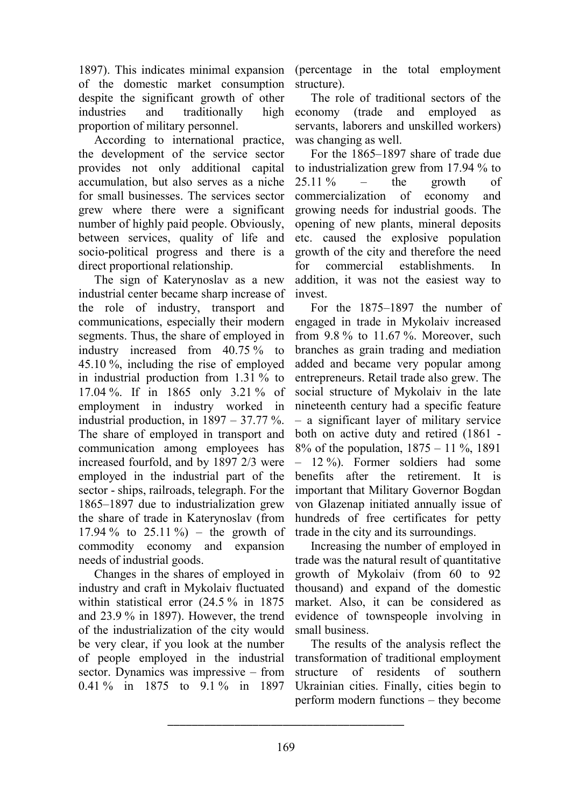1897). This indicates minimal expansion of the domestic market consumption despite the significant growth of other industries and traditionally high proportion of military personnel.

According to international practice, the development of the service sector provides not only additional capital accumulation, but also serves as a niche for small businesses. The services sector grew where there were a significant number of highly paid people. Obviously, between services, quality of life and socio-political progress and there is a direct proportional relationship.

The sign of Katerynoslav as a new industrial center became sharp increase of the role of industry, transport and communications, especially their modern segments. Thus, the share of employed in industry increased from 40.75 % to 45.10 %, including the rise of employed in industrial production from 1.31 % to 17.04 %. If in 1865 only 3.21 % of employment in industry worked in industrial production, in  $1897 - 37.77\%$ . The share of employed in transport and communication among employees has increased fourfold, and by 1897 2/3 were employed in the industrial part of the sector - ships, railroads, telegraph. For the 1865–1897 due to industrialization grew the share of trade in Katerynoslav (from 17.94 % to  $25.11\%$  – the growth of commodity economy and expansion needs of industrial goods.

Changes in the shares of employed in industry and craft in Mykolaiv fluctuated within statistical error (24.5 % in 1875 and 23.9 % in 1897). However, the trend of the industrialization of the city would be very clear, if you look at the number of people employed in the industrial sector. Dynamics was impressive – from 0.41 % in 1875 to 9.1 % in 1897

(percentage in the total employment structure).

The role of traditional sectors of the economy (trade and employed as servants, laborers and unskilled workers) was changing as well.

For the 1865–1897 share of trade due to industrialization grew from 17.94 % to  $25.11\%$  – the growth of commercialization of economy and growing needs for industrial goods. The opening of new plants, mineral deposits etc. caused the explosive population growth of the city and therefore the need for commercial establishments. In addition, it was not the easiest way to invest.

For the 1875–1897 the number of engaged in trade in Mykolaiv increased from 9.8 % to 11.67 %. Moreover, such branches as grain trading and mediation added and became very popular among entrepreneurs. Retail trade also grew. The social structure of Mykolaiv in the late nineteenth century had a specific feature – a significant layer of military service both on active duty and retired (1861 - 8% of the population, 1875 – 11 %, 1891 – 12 %). Former soldiers had some benefits after the retirement. It is important that Military Governor Bogdan von Glazenap initiated annually issue of hundreds of free certificates for petty trade in the city and its surroundings.

Increasing the number of employed in trade was the natural result of quantitative growth of Mykolaiv (from 60 to 92 thousand) and expand of the domestic market. Also, it can be considered as evidence of townspeople involving in small business.

The results of the analysis reflect the transformation of traditional employment structure of residents of southern Ukrainian cities. Finally, cities begin to perform modern functions – they become